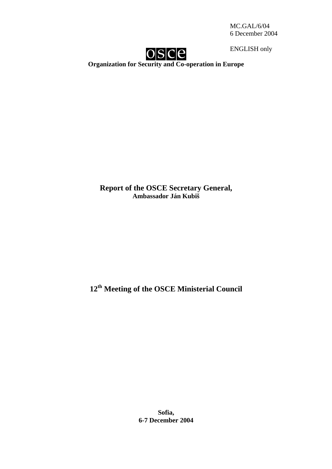MC.GAL/6/04 6 December 2004



ENGLISH only

**Organization for Security and Co-operation in Europe** 

**Report of the OSCE Secretary General, Ambassador Ján Kubiš** 

**12th Meeting of the OSCE Ministerial Council** 

**Sofia, 6-7 December 2004**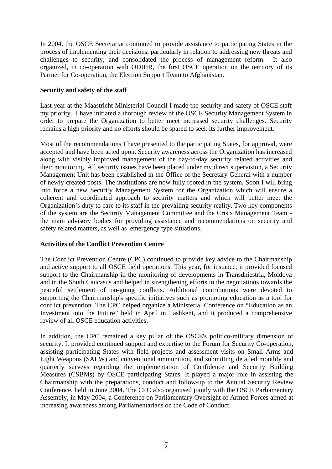In 2004, the OSCE Secretariat continued to provide assistance to participating States in the process of implementing their decisions, particularly in relation to addressing new threats and challenges to security, and consolidated the process of management reform. It also organized, in co-operation with ODIHR, the first OSCE operation on the territory of its Partner for Co-operation, the Election Support Team to Afghanistan.

## **Security and safety of the staff**

Last year at the Maastricht Ministerial Council I made the security and safety of OSCE staff my priority. I have initiated a thorough review of the OSCE Security Management System in order to prepare the Organization to better meet increased security challenges. Security remains a high priority and no efforts should be spared to seek its further improvement.

Most of the recommendations I have presented to the participating States, for approval, were accepted and have been acted upon. Security awareness across the Organization has increased along with visibly improved management of the day-to-day security related activities and their monitoring. All security issues have been placed under my direct supervision, a Security Management Unit has been established in the Office of the Secretary General with a number of newly created posts. The institutions are now fully rooted in the system. Soon I will bring into force a new Security Management System for the Organization which will ensure a coherent and coordinated approach to security matters and which will better meet the Organization's duty to care to its staff in the prevailing security reality. Two key components of the system are the Security Management Committee and the Crisis Management Team the main advisory bodies for providing assistance and recommendations on security and safety related matters, as well as emergency type situations.

# **Activities of the Conflict Prevention Centre**

The Conflict Prevention Centre (CPC) continued to provide key advice to the Chairmanship and active support to all OSCE field operations. This year, for instance, it provided focused support to the Chairmanship in the monitoring of developments in Transdniestria, Moldova and in the South Caucasus and helped in strengthening efforts in the negotiations towards the peaceful settlement of on-going conflicts. Additional contributions were devoted to supporting the Chairmanship's specific initiatives such as promoting education as a tool for conflict prevention. The CPC helped organize a Ministerial Conference on "Education as an Investment into the Future" held in April in Tashkent, and it produced a comprehensive review of all OSCE education activities.

In addition, the CPC remained a key pillar of the OSCE's politico-military dimension of security. It provided continued support and expertise to the Forum for Security Co-operation, assisting participating States with field projects and assessment visits on Small Arms and Light Weapons (SALW) and conventional ammunition, and submitting detailed monthly and quarterly surveys regarding the implementation of Confidence and Security Building Measures (CSBMs) by OSCE participating States. It played a major role in assisting the Chairmanship with the preparations, conduct and follow-up to the Annual Security Review Conference, held in June 2004. The CPC also organised jointly with the OSCE Parliamentary Assembly, in May 2004, a Conference on Parliamentary Oversight of Armed Forces aimed at increasing awareness among Parliamentarians on the Code of Conduct.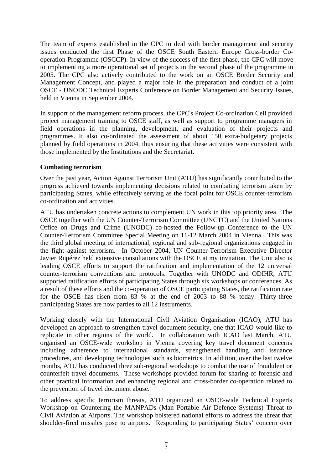The team of experts established in the CPC to deal with border management and security issues conducted the first Phase of the OSCE South Eastern Europe Cross-border Cooperation Programme (OSCCP). In view of the success of the first phase, the CPC will move to implementing a more operational set of projects in the second phase of the programme in 2005. The CPC also actively contributed to the work on an OSCE Border Security and Management Concept, and played a major role in the preparation and conduct of a joint OSCE - UNODC Technical Experts Conference on Border Management and Security Issues, held in Vienna in September 2004.

In support of the management reform process, the CPC's Project Co-ordination Cell provided project management training to OSCE staff, as well as support to programme managers in field operations in the planning, development, and evaluation of their projects and programmes. It also co-ordinated the assessment of about 150 extra-budgetary projects planned by field operations in 2004, thus ensuring that these activities were consistent with those implemented by the Institutions and the Secretariat.

## **Combating terrorism**

Over the past year, Action Against Terrorism Unit (ATU) has significantly contributed to the progress achieved towards implementing decisions related to combating terrorism taken by participating States, while effectively serving as the focal point for OSCE counter-terrorism co-ordination and activities.

ATU has undertaken concrete actions to complement UN work in this top priority area. The OSCE together with the UN Counter-Terrorism Committee (UNCTC) and the United Nations Office on Drugs and Crime (UNODC) co-hosted the Follow-up Conference to the UN Counter-Terrorism Committee Special Meeting on 11-12 March 2004 in Vienna. This was the third global meeting of international, regional and sub-regional organizations engaged in the fight against terrorism. In October 2004, UN Counter-Terrorism Executive Director Javier Rupérez held extensive consultations with the OSCE at my invitation. The Unit also is leading OSCE efforts to support the ratification and implementation of the 12 universal counter-terrorism conventions and protocols. Together with UNODC and ODIHR, ATU supported ratification efforts of participating States through six workshops or conferences. As a result of these efforts and the co-operation of OSCE participating States, the ratification rate for the OSCE has risen from 83 % at the end of 2003 to 88 % today. Thirty-three participating States are now parties to all 12 instruments.

Working closely with the International Civil Aviation Organisation (ICAO), ATU has developed an approach to strengthen travel document security, one that ICAO would like to replicate in other regions of the world. In collaboration with ICAO last March, ATU organised an OSCE-wide workshop in Vienna covering key travel document concerns including adherence to international standards, strengthened handling and issuance procedures, and developing technologies such as biometrics. In addition, over the last twelve months, ATU has conducted three sub-regional workshops to combat the use of fraudulent or counterfeit travel documents. These workshops provided forum for sharing of forensic and other practical information and enhancing regional and cross-border co-operation related to the prevention of travel document abuse.

To address specific terrorism threats, ATU organized an OSCE-wide Technical Experts Workshop on Countering the MANPADs (Man Portable Air Defence Systems) Threat to Civil Aviation at Airports. The workshop bolstered national efforts to address the threat that shoulder-fired missiles pose to airports. Responding to participating States' concern over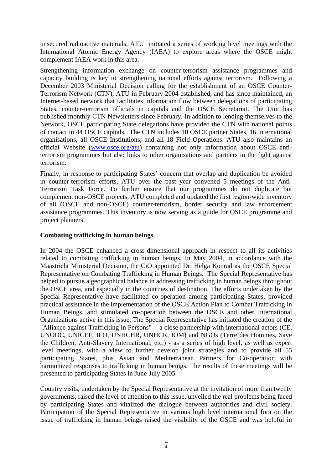unsecured radioactive materials, ATU initiated a series of working level meetings with the International Atomic Energy Agency (IAEA) to explore areas where the OSCE might complement IAEA work in this area.

Strengthening information exchange on counter-terrorism assistance programmes and capacity building is key to strengthening national efforts against terrorism. Following a December 2003 Ministerial Decision calling for the establishment of an OSCE Counter-Terrorism Network (CTN), ATU in February 2004 established, and has since maintained, an Internet-based network that facilitates information flow between delegations of participating States, counter-terrorism officials in capitals and the OSCE Secretariat. The Unit has published monthly CTN Newsletters since February. In addition to lending themselves to the Network, OSCE participating State delegations have provided the CTN with national points of contact in 44 OSCE capitals. The CTN includes 10 OSCE partner States, 16 international organisations, all OSCE Institutions, and all 18 Field Operations. ATU also maintains an official Website (www.osce.org/atu) containing not only information about OSCE antiterrorism programmes but also links to other organisations and partners in the fight against terrorism.

Finally, in response to participating States' concern that overlap and duplication be avoided in counter-terrorism efforts, ATU over the past year convened 5 meetings of the Anti-Terrorism Task Force. To further ensure that our programmes do not duplicate but complement non-OSCE projects, ATU completed and updated the first region-wide inventory of all (OSCE and non-OSCE) counter-terrorism, border security and law enforcement assistance programmes. This inventory is now serving as a guide for OSCE programme and project planners.

#### **Combating trafficking in human beings**

In 2004 the OSCE enhanced a cross-dimensional approach in respect to all its activities related to combating trafficking in human beings. In May 2004, in accordance with the Maastricht Ministerial Decision, the CiO appointed Dr. Helga Konrad as the OSCE Special Representative on Combating Trafficking in Human Beings. The Special Representative has helped to pursue a geographical balance in addressing trafficking in human beings throughout the OSCE area, and especially in the countries of destination. The efforts undertaken by the Special Representative have facilitated co-operation among participating States, provided practical assistance in the implementation of the OSCE Action Plan to Combat Trafficking in Human Beings, and stimulated co-operation between the OSCE and other International Organizations active in this issue. The Special Representative has initiated the creation of the "Alliance against Trafficking in Persons" *-* a close partnership with international actors (CE, UNODC, UNICEF, ILO, UNHCHR, UNHCR, IOM) and NGOs (Terre des Hommes, Save the Children, Anti-Slavery International, etc.) - as a series of high level, as well as expert level meetings, with a view to further develop joint strategies and to provide all 55 participating States, plus Asian and Mediterranean Partners for Co-operation with harmonized responses to trafficking in human beings. The results of these meetings will be presented to participating States in June-July 2005.

Country visits, undertaken by the Special Representative at the invitation of more than twenty governments, raised the level of attention to this issue, unveiled the real problems being faced by participating States and vitalized the dialogue between authorities and civil society. Participation of the Special Representative in various high level international fora on the issue of trafficking in human beings raised the visibility of the OSCE and was helpful in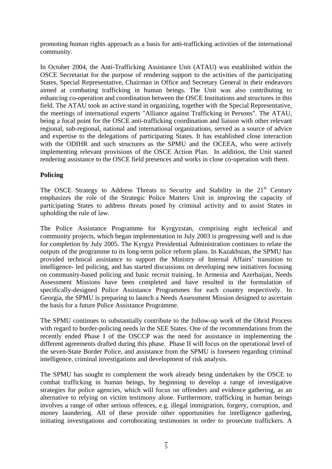promoting human rights approach as a basis for anti-trafficking activities of the international community.

In October 2004, the Anti-Trafficking Assistance Unit (ATAU) was established within the OSCE Secretariat for the purpose of rendering support to the activities of the participating States, Special Representative, Chairman in Office and Secretary General in their endeavors aimed at combating trafficking in human beings. The Unit was also contributing to enhancing co-operation and coordination between the OSCE Institutions and structures in this field. The ATAU took an active stand in organizing, together with the Special Representative, the meetings of international experts "Alliance against Trafficking in Persons". The ATAU, being a focal point for the OSCE anti-trafficking coordination and liaison with other relevant regional, sub-regional, national and international organizations, served as a source of advice and expertise to the delegations of participating States. It has established close interaction with the ODIHR and such structures as the SPMU and the OCEEA, who were actively implementing relevant provisions of the OSCE Action Plan. In addition, the Unit started rendering assistance to the OSCE field presences and works in close co-operation with them.

# **Policing**

The OSCE Strategy to Address Threats to Security and Stability in the  $21<sup>st</sup>$  Century emphasizes the role of the Strategic Police Matters Unit in improving the capacity of participating States to address threats posed by criminal activity and to assist States in upholding the rule of law.

The Police Assistance Programme for Kyrgyzstan, comprising eight technical and community projects, which began implementation in July 2003 is progressing well and is due for completion by July 2005. The Kyrgyz Presidential Administration continues to relate the outputs of the programme to its long-term police reform plans. In Kazakhstan, the SPMU has provided technical assistance to support the Ministry of Internal Affairs' transition to intelligence- led policing, and has started discussions on developing new initiatives focusing on community-based policing and basic recruit training. In Armenia and Azerbaijan, Needs Assessment Missions have been completed and have resulted in the formulation of specifically-designed Police Assistance Programmes for each country respectively. In Georgia, the SPMU is preparing to launch a Needs Assessment Mission designed to ascertain the basis for a future Police Assistance Programme.

The SPMU continues to substantially contribute to the follow-up work of the Ohrid Process with regard to border-policing needs in the SEE States. One of the recommendations from the recently ended Phase I of the OSCCP was the need for assistance in implementing the different agreements drafted during this phase. Phase II will focus on the operational level of the seven-State Border Police, and assistance from the SPMU is foreseen regarding criminal intelligence, criminal investigations and development of risk analysis.

The SPMU has sought to complement the work already being undertaken by the OSCE to combat trafficking in human beings, by beginning to develop a range of investigative strategies for police agencies, which will focus on offenders and evidence gathering, as an alternative to relying on victim testimony alone. Furthermore, trafficking in human beings involves a range of other serious offences, e.g. illegal immigration, forgery, corruption, and money laundering. All of these provide other opportunities for intelligence gathering, initiating investigations and corroborating testimonies in order to prosecute traffickers. A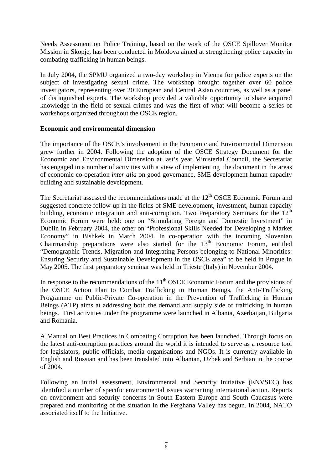Needs Assessment on Police Training, based on the work of the OSCE Spillover Monitor Mission in Skopje, has been conducted in Moldova aimed at strengthening police capacity in combating trafficking in human beings.

In July 2004, the SPMU organized a two-day workshop in Vienna for police experts on the subject of investigating sexual crime. The workshop brought together over 60 police investigators, representing over 20 European and Central Asian countries, as well as a panel of distinguished experts. The workshop provided a valuable opportunity to share acquired knowledge in the field of sexual crimes and was the first of what will become a series of workshops organized throughout the OSCE region.

## **Economic and environmental dimension**

The importance of the OSCE's involvement in the Economic and Environmental Dimension grew further in 2004. Following the adoption of the OSCE Strategy Document for the Economic and Environmental Dimension at last's year Ministerial Council, the Secretariat has engaged in a number of activities with a view of implementing the document in the areas of economic co-operation *inter alia* on good governance, SME development human capacity building and sustainable development.

The Secretariat assessed the recommendations made at the  $12<sup>th</sup> OSCE$  Economic Forum and suggested concrete follow-up in the fields of SME development, investment, human capacity building, economic integration and anti-corruption. Two Preparatory Seminars for the  $12<sup>th</sup>$ Economic Forum were held: one on "Stimulating Foreign and Domestic Investment" in Dublin in February 2004, the other on "Professional Skills Needed for Developing a Market Economy" in Bishkek in March 2004. In co-operation with the incoming Slovenian Chairmanship preparations were also started for the 13<sup>th</sup> Economic Forum, entitled "Demographic Trends, Migration and Integrating Persons belonging to National Minorities: Ensuring Security and Sustainable Development in the OSCE area" to be held in Prague in May 2005. The first preparatory seminar was held in Trieste (Italy) in November 2004.

In response to the recommendations of the  $11<sup>th</sup> OSCE$  Economic Forum and the provisions of the OSCE Action Plan to Combat Trafficking in Human Beings, the Anti-Trafficking Programme on Public-Private Co-operation in the Prevention of Trafficking in Human Beings (ATP) aims at addressing both the demand and supply side of trafficking in human beings. First activities under the programme were launched in Albania, Azerbaijan, Bulgaria and Romania.

A Manual on Best Practices in Combating Corruption has been launched. Through focus on the latest anti-corruption practices around the world it is intended to serve as a resource tool for legislators, public officials, media organisations and NGOs. It is currently available in English and Russian and has been translated into Albanian, Uzbek and Serbian in the course of 2004.

Following an initial assessment, Environmental and Security Initiative (ENVSEC) has identified a number of specific environmental issues warranting international action. Reports on environment and security concerns in South Eastern Europe and South Caucasus were prepared and monitoring of the situation in the Ferghana Valley has begun. In 2004, NATO associated itself to the Initiative.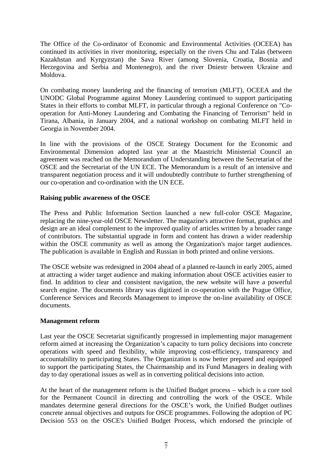The Office of the Co-ordinator of Economic and Environmental Activities (OCEEA) has continued its activities in river monitoring, especially on the rivers Chu and Talas (between Kazakhstan and Kyrgyzstan) the Sava River (among Slovenia, Croatia, Bosnia and Herzegovina and Serbia and Montenegro), and the river Dniestr between Ukraine and Moldova.

On combating money laundering and the financing of terrorism (MLFT), OCEEA and the UNODC Global Programme against Money Laundering continued to support participating States in their efforts to combat MLFT, in particular through a regional Conference on "Cooperation for Anti-Money Laundering and Combating the Financing of Terrorism" held in Tirana, Albania, in January 2004, and a national workshop on combating MLFT held in Georgia in November 2004.

In line with the provisions of the OSCE Strategy Document for the Economic and Environmental Dimension adopted last year at the Maastricht Ministerial Council an agreement was reached on the Memorandum of Understanding between the Secretariat of the OSCE and the Secretariat of the UN ECE. The Memorandum is a result of an intensive and transparent negotiation process and it will undoubtedly contribute to further strengthening of our co-operation and co-ordination with the UN ECE.

# **Raising public awareness of the OSCE**

The Press and Public Information Section launched a new full-color OSCE Magazine, replacing the nine-year-old OSCE Newsletter. The magazine's attractive format, graphics and design are an ideal complement to the improved quality of articles written by a broader range of contributors. The substantial upgrade in form and content has drawn a wider readership within the OSCE community as well as among the Organization's major target audiences. The publication is available in English and Russian in both printed and online versions.

The OSCE website was redesigned in 2004 ahead of a planned re-launch in early 2005, aimed at attracting a wider target audience and making information about OSCE activities easier to find. In addition to clear and consistent navigation, the new website will have a powerful search engine. The documents library was digitized in co-operation with the Prague Office, Conference Services and Records Management to improve the on-line availability of OSCE documents.

# **Management reform**

Last year the OSCE Secretariat significantly progressed in implementing major management reform aimed at increasing the Organization's capacity to turn policy decisions into concrete operations with speed and flexibility, while improving cost-efficiency, transparency and accountability to participating States. The Organization is now better prepared and equipped to support the participating States, the Chairmanship and its Fund Managers in dealing with day to day operational issues as well as in converting political decisions into action.

At the heart of the management reform is the Unified Budget process – which is a core tool for the Permanent Council in directing and controlling the work of the OSCE. While mandates determine general directions for the OSCE's work, the Unified Budget outlines concrete annual objectives and outputs for OSCE programmes. Following the adoption of PC Decision 553 on the OSCE's Unified Budget Process, which endorsed the principle of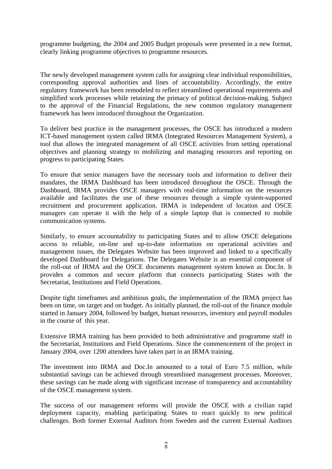programme budgeting, the 2004 and 2005 Budget proposals were presented in a new format, clearly linking programme objectives to programme resources.

The newly developed management system calls for assigning clear individual responsibilities, corresponding approval authorities and lines of accountability. Accordingly, the entire regulatory framework has been remodeled to reflect streamlined operational requirements and simplified work processes while retaining the primacy of political decision-making. Subject to the approval of the Financial Regulations, the new common regulatory management framework has been introduced throughout the Organization.

To deliver best practice in the management processes, the OSCE has introduced a modern ICT-based management system called IRMA (Integrated Resources Management System), a tool that allows the integrated management of all OSCE activities from setting operational objectives and planning strategy to mobilizing and managing resources and reporting on progress to participating States.

To ensure that senior managers have the necessary tools and information to deliver their mandates, the IRMA Dashboard has been introduced throughout the OSCE. Through the Dashboard, IRMA provides OSCE managers with real-time information on the resources available and facilitates the use of these resources through a simple system-supported recruitment and procurement application. IRMA is independent of location and OSCE managers can operate it with the help of a simple laptop that is connected to mobile communication systems.

Similarly, to ensure accountability to participating States and to allow OSCE delegations access to reliable, on-line and up-to-date information on operational activities and management issues, the Delegates Website has been improved and linked to a specifically developed Dashboard for Delegations. The Delegates Website is an essential component of the roll-out of IRMA and the OSCE documents management system known as Doc.In. It provides a common and secure platform that connects participating States with the Secretariat, Institutions and Field Operations.

Despite tight timeframes and ambitious goals, the implementation of the IRMA project has been on time, on target and on budget. As initially planned, the roll-out of the finance module started in January 2004, followed by budget, human resources, inventory and payroll modules in the course of this year.

Extensive IRMA training has been provided to both administrative and programme staff in the Secretariat, Institutions and Field Operations. Since the commencement of the project in January 2004, over 1200 attendees have taken part in an IRMA training.

The investment into IRMA and Doc.In amounted to a total of Euro 7.5 million, while substantial savings can be achieved through streamlined management processes. Moreover, these savings can be made along with significant increase of transparency and accountability of the OSCE management system.

The success of our management reforms will provide the OSCE with a civilian rapid deployment capacity, enabling participating States to react quickly to new political challenges. Both former External Auditors from Sweden and the current External Auditors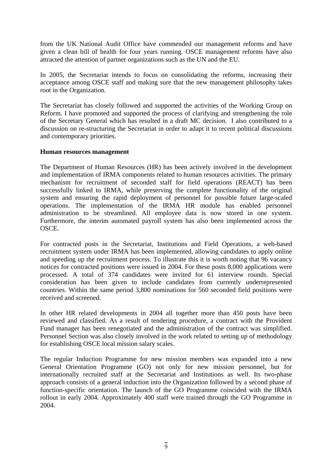from the UK National Audit Office have commended our management reforms and have given a clean bill of health for four years running. OSCE management reforms have also attracted the attention of partner organizations such as the UN and the EU.

In 2005, the Secretariat intends to focus on consolidating the reforms, increasing their acceptance among OSCE staff and making sure that the new management philosophy takes root in the Organization.

The Secretariat has closely followed and supported the activities of the Working Group on Reform. I have promoted and supported the process of clarifying and strengthening the role of the Secretary General which has resulted in a draft MC decision. I also contributed to a discussion on re-structuring the Secretariat in order to adapt it to recent political discussions and contemporary priorities.

## **Human resources management**

The Department of Human Resources (HR) has been actively involved in the development and implementation of IRMA components related to human resources activities. The primary mechanism for recruitment of seconded staff for field operations (REACT) has been successfully linked to IRMA, while preserving the complete functionality of the original system and ensuring the rapid deployment of personnel for possible future large-scaled operations. The implementation of the IRMA HR module has enabled personnel administration to be streamlined. All employee data is now stored in one system. Furthermore, the interim automated payroll system has also been implemented across the OSCE.

For contracted posts in the Secretariat, Institutions and Field Operations, a web-based recruitment system under IRMA has been implemented, allowing candidates to apply online and speeding up the recruitment process. To illustrate this it is worth noting that 96 vacancy notices for contracted positions were issued in 2004. For these posts 8,000 applications were processed. A total of 374 candidates were invited for 61 interview rounds. Special consideration has been given to include candidates from currently underrepresented countries. Within the same period 3,800 nominations for 560 seconded field positions were received and screened.

In other HR related developments in 2004 all together more than 450 posts have been reviewed and classified. As a result of tendering procedure, a contract with the Provident Fund manager has been renegotiated and the administration of the contract was simplified. Personnel Section was also closely involved in the work related to setting up of methodology for establishing OSCE local mission salary scales.

The regular Induction Programme for new mission members was expanded into a new General Orientation Programme (GO) not only for new mission personnel, but for internationally recruited staff at the Secretariat and Institutions as well. Its two-phase approach consists of a general induction into the Organization followed by a second phase of function-specific orientation. The launch of the GO Programme coincided with the IRMA rollout in early 2004. Approximately 400 staff were trained through the GO Programme in 2004.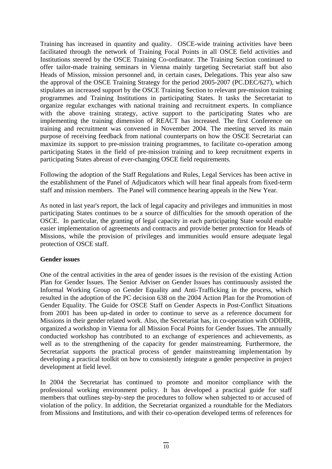Training has increased in quantity and quality. OSCE-wide training activities have been facilitated through the network of Training Focal Points in all OSCE field activities and Institutions steered by the OSCE Training Co-ordinator. The Training Section continued to offer tailor-made training seminars in Vienna mainly targeting Secretariat staff but also Heads of Mission, mission personnel and, in certain cases, Delegations. This year also saw the approval of the OSCE Training Strategy for the period 2005-2007 (PC.DEC/627), which stipulates an increased support by the OSCE Training Section to relevant pre-mission training programmes and Training Institutions in participating States. It tasks the Secretariat to organize regular exchanges with national training and recruitment experts. In compliance with the above training strategy, active support to the participating States who are implementing the training dimension of REACT has increased. The first Conference on training and recruitment was convened in November 2004. The meeting served its main purpose of receiving feedback from national counterparts on how the OSCE Secretariat can maximize its support to pre-mission training programmes, to facilitate co-operation among participating States in the field of pre-mission training and to keep recruitment experts in participating States abreast of ever-changing OSCE field requirements.

Following the adoption of the Staff Regulations and Rules, Legal Services has been active in the establishment of the Panel of Adjudicators which will hear final appeals from fixed-term staff and mission members. The Panel will commence hearing appeals in the New Year.

As noted in last year's report, the lack of legal capacity and privileges and immunities in most participating States continues to be a source of difficulties for the smooth operation of the OSCE. In particular, the granting of legal capacity in each participating State would enable easier implementation of agreements and contracts and provide better protection for Heads of Missions, while the provision of privileges and immunities would ensure adequate legal protection of OSCE staff.

#### **Gender issues**

One of the central activities in the area of gender issues is the revision of the existing Action Plan for Gender Issues. The Senior Adviser on Gender Issues has continuously assisted the Informal Working Group on Gender Equality and Anti-Trafficking in the process, which resulted in the adoption of the PC decision 638 on the 2004 Action Plan for the Promotion of Gender Equality. The Guide for OSCE Staff on Gender Aspects in Post-Conflict Situations from 2001 has been up-dated in order to continue to serve as a reference document for Missions in their gender related work. Also, the Secretariat has, in co-operation with ODIHR, organized a workshop in Vienna for all Mission Focal Points for Gender Issues. The annually conducted workshop has contributed to an exchange of experiences and achievements, as well as to the strengthening of the capacity for gender mainstreaming. Furthermore, the Secretariat supports the practical process of gender mainstreaming implementation by developing a practical toolkit on how to consistently integrate a gender perspective in project development at field level.

In 2004 the Secretariat has continued to promote and monitor compliance with the professional working environment policy. It has developed a practical guide for staff members that outlines step-by-step the procedures to follow when subjected to or accused of violation of the policy. In addition, the Secretariat organized a roundtable for the Mediators from Missions and Institutions, and with their co-operation developed terms of references for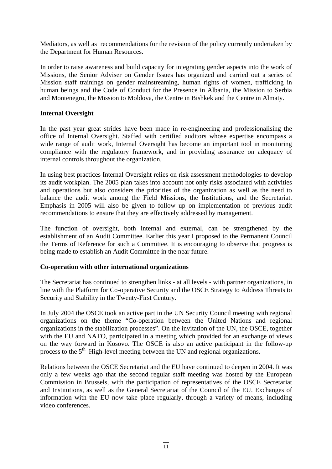Mediators, as well as recommendations for the revision of the policy currently undertaken by the Department for Human Resources.

In order to raise awareness and build capacity for integrating gender aspects into the work of Missions, the Senior Adviser on Gender Issues has organized and carried out a series of Mission staff trainings on gender mainstreaming, human rights of women, trafficking in human beings and the Code of Conduct for the Presence in Albania, the Mission to Serbia and Montenegro, the Mission to Moldova, the Centre in Bishkek and the Centre in Almaty.

#### **Internal Oversight**

In the past year great strides have been made in re-engineering and professionalising the office of Internal Oversight. Staffed with certified auditors whose expertise encompass a wide range of audit work, Internal Oversight has become an important tool in monitoring compliance with the regulatory framework, and in providing assurance on adequacy of internal controls throughout the organization.

In using best practices Internal Oversight relies on risk assessment methodologies to develop its audit workplan. The 2005 plan takes into account not only risks associated with activities and operations but also considers the priorities of the organization as well as the need to balance the audit work among the Field Missions, the Institutions, and the Secretariat. Emphasis in 2005 will also be given to follow up on implementation of previous audit recommendations to ensure that they are effectively addressed by management.

The function of oversight, both internal and external, can be strengthened by the establishment of an Audit Committee. Earlier this year I proposed to the Permanent Council the Terms of Reference for such a Committee. It is encouraging to observe that progress is being made to establish an Audit Committee in the near future.

#### **Co-operation with other international organizations**

The Secretariat has continued to strengthen links - at all levels - with partner organizations, in line with the Platform for Co-operative Security and the OSCE Strategy to Address Threats to Security and Stability in the Twenty-First Century.

In July 2004 the OSCE took an active part in the UN Security Council meeting with regional organizations on the theme "Co-operation between the United Nations and regional organizations in the stabilization processes". On the invitation of the UN, the OSCE, together with the EU and NATO, participated in a meeting which provided for an exchange of views on the way forward in Kosovo. The OSCE is also an active participant in the follow-up process to the  $5<sup>th</sup>$  High-level meeting between the UN and regional organizations.

Relations between the OSCE Secretariat and the EU have continued to deepen in 2004. It was only a few weeks ago that the second regular staff meeting was hosted by the European Commission in Brussels, with the participation of representatives of the OSCE Secretariat and Institutions, as well as the General Secretariat of the Council of the EU. Exchanges of information with the EU now take place regularly, through a variety of means, including video conferences.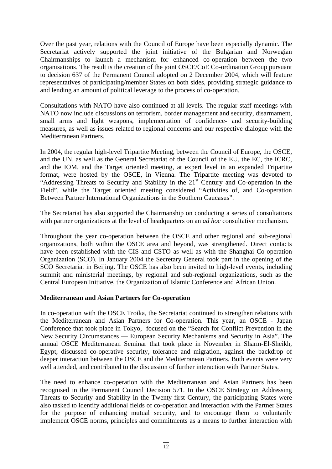Over the past year, relations with the Council of Europe have been especially dynamic. The Secretariat actively supported the joint initiative of the Bulgarian and Norwegian Chairmanships to launch a mechanism for enhanced co-operation between the two organisations. The result is the creation of the joint OSCE/CoE Co-ordination Group pursuant to decision 637 of the Permanent Council adopted on 2 December 2004, which will feature representatives of participating/member States on both sides, providing strategic guidance to and lending an amount of political leverage to the process of co-operation.

Consultations with NATO have also continued at all levels. The regular staff meetings with NATO now include discussions on terrorism, border management and security, disarmament, small arms and light weapons, implementation of confidence- and security-building measures, as well as issues related to regional concerns and our respective dialogue with the Mediterranean Partners.

In 2004, the regular high-level Tripartite Meeting, between the Council of Europe, the OSCE, and the UN, as well as the General Secretariat of the Council of the EU, the EC, the ICRC, and the IOM, and the Target oriented meeting, at expert level in an expanded Tripartite format, were hosted by the OSCE, in Vienna. The Tripartite meeting was devoted to "Addressing Threats to Security and Stability in the  $21<sup>st</sup>$  Century and Co-operation in the Field", while the Target oriented meeting considered "Activities of, and Co-operation Between Partner International Organizations in the Southern Caucasus".

The Secretariat has also supported the Chairmanship on conducting a series of consultations with partner organizations at the level of headquarters on an *ad hoc* consultative mechanism.

Throughout the year co-operation between the OSCE and other regional and sub-regional organizations, both within the OSCE area and beyond, was strengthened. Direct contacts have been established with the CIS and CSTO as well as with the Shanghai Co-operation Organization (SCO). In January 2004 the Secretary General took part in the opening of the SCO Secretariat in Beijing. The OSCE has also been invited to high-level events, including summit and ministerial meetings, by regional and sub-regional organizations, such as the Central European Initiative, the Organization of Islamic Conference and African Union.

#### **Mediterranean and Asian Partners for Co-operation**

In co-operation with the OSCE Troika, the Secretariat continued to strengthen relations with the Mediterranean and Asian Partners for Co-operation. This year, an OSCE - Japan Conference that took place in Tokyo, focused on the "Search for Conflict Prevention in the New Security Circumstances — European Security Mechanisms and Security in Asia". The annual OSCE Mediterranean Seminar that took place in November in Sharm-El-Sheikh, Egypt, discussed co-operative security, tolerance and migration, against the backdrop of deeper interaction between the OSCE and the Mediterranean Partners. Both events were very well attended, and contributed to the discussion of further interaction with Partner States.

The need to enhance co-operation with the Mediterranean and Asian Partners has been recognised in the Permanent Council Decision 571. In the OSCE Strategy on Addressing Threats to Security and Stability in the Twenty-first Century, the participating States were also tasked to identify additional fields of co-operation and interaction with the Partner States for the purpose of enhancing mutual security, and to encourage them to voluntarily implement OSCE norms, principles and commitments as a means to further interaction with